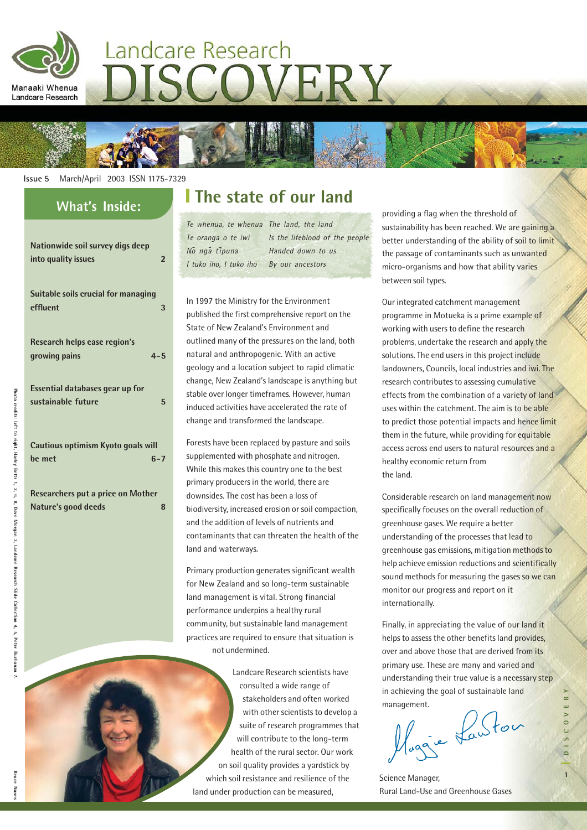

# Landcare Research ISCOVERY



#### **Issue 5** March/April 2003 ISSN 1175-7329

| vvnats inside:                                                          |
|-------------------------------------------------------------------------|
| Nationwide soil survey digs deep<br>into quality issues<br>$\mathbf{2}$ |
| Suitable soils crucial for managing<br>effluent<br>3                    |
| Research helps ease region's<br>growing pains<br>$4 - 5$                |
| <b>Essential databases gear up for</b><br>sustainable future<br>5       |
| Cautious optimism Kyoto goals will<br>be met<br>$6 - 7$                 |
| <b>Researchers put a price on Mother</b><br>Nature's good deeds<br>8    |

## **I** The state of our land

| Te whenua, te whenua The land, the land |                                |
|-----------------------------------------|--------------------------------|
| Te oranga o te iwi                      | Is the lifeblood of the people |
| No nga tipuna                           | Handed down to us              |
| I tuko iho, I tuko iho                  | By our ancestors               |

In 1997 the Ministry for the Environment published the first comprehensive report on the State of New Zealand's Environment and outlined many of the pressures on the land, both natural and anthropogenic. With an active geology and a location subject to rapid climatic change, New Zealand's landscape is anything but stable over longer timeframes. However, human induced activities have accelerated the rate of change and transformed the landscape.

Forests have been replaced by pasture and soils supplemented with phosphate and nitrogen. While this makes this country one to the best primary producers in the world, there are downsides. The cost has been a loss of biodiversity, increased erosion or soil compaction, and the addition of levels of nutrients and contaminants that can threaten the health of the land and waterways.

Primary production generates significant wealth for New Zealand and so long-term sustainable land management is vital. Strong financial performance underpins a healthy rural community, but sustainable land management practices are required to ensure that situation is not undermined.

Landcare Research scientists have consulted a wide range of stakeholders and often worked with other scientists to develop a suite of research programmes that will contribute to the long-term health of the rural sector. Our work on soil quality provides a yardstick by which soil resistance and resilience of the land under production can be measured,

providing a flag when the threshold of sustainability has been reached. We are gaining a better understanding of the ability of soil to limit the passage of contaminants such as unwanted micro-organisms and how that ability varies between soil types.

Our integrated catchment management programme in Motueka is a prime example of working with users to define the research problems, undertake the research and apply the solutions. The end users in this project include landowners, Councils, local industries and iwi. The research contributes to assessing cumulative effects from the combination of a variety of land uses within the catchment. The aim is to be able to predict those potential impacts and hence limit them in the future, while providing for equitable access across end users to natural resources and a healthy economic return from the land.

Considerable research on land management now specifically focuses on the overall reduction of greenhouse gases. We require a better understanding of the processes that lead to greenhouse gas emissions, mitigation methods to help achieve emission reductions and scientifically sound methods for measuring the gases so we can monitor our progress and report on it internationally.

Finally, in appreciating the value of our land it helps to assess the other benefits land provides, over and above those that are derived from its primary use. These are many and varied and understanding their true value is a necessary step in achieving the goal of sustainable land

management.<br>Maggie Lawton

Photo

credits: left to right, Harley Betts

1, 2, 6, 8, Dave

Morgan 3, Landcare

**Research Slide** 

Collection

4, 5, Peter Buchanan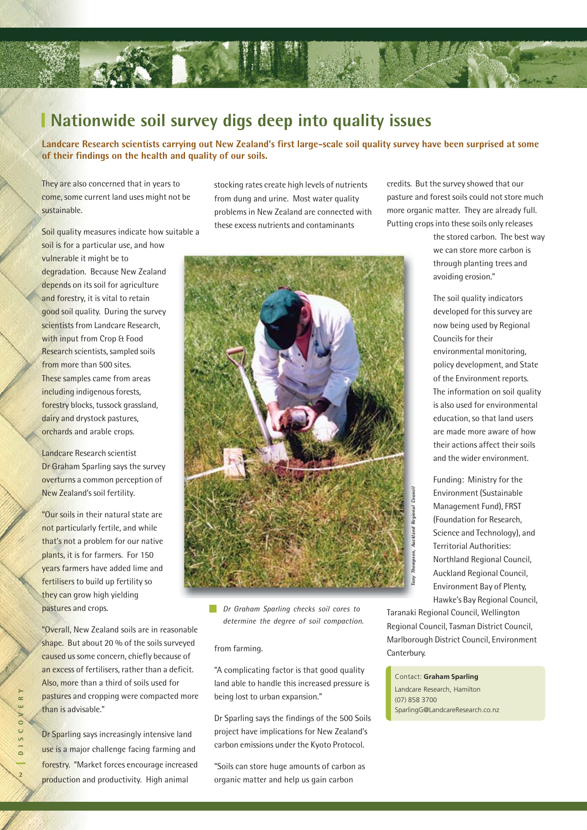

### **Nationwide soil survey digs deep into quality issues**

**Landcare Research scientists carrying out New Zealand's first large-scale soil quality survey have been surprised at some of their findings on the health and quality of our soils.**

They are also concerned that in years to come, some current land uses might not be sustainable.

Soil quality measures indicate how suitable a

soil is for a particular use, and how vulnerable it might be to degradation. Because New Zealand depends on its soil for agriculture and forestry, it is vital to retain good soil quality. During the survey scientists from Landcare Research, with input from Crop & Food Research scientists, sampled soils from more than 500 sites. These samples came from areas including indigenous forests, forestry blocks, tussock grassland, dairy and drystock pastures, orchards and arable crops.

Landcare Research scientist Dr Graham Sparling says the survey overturns a common perception of New Zealand's soil fertility.

"Our soils in their natural state are not particularly fertile, and while that's not a problem for our native plants, it is for farmers. For 150 years farmers have added lime and fertilisers to build up fertility so they can grow high yielding pastures and crops.

"Overall, New Zealand soils are in reasonable shape. But about 20 % of the soils surveyed caused us some concern, chiefly because of an excess of fertilisers, rather than a deficit. Also, more than a third of soils used for pastures and cropping were compacted more than is advisable."

Dr Sparling says increasingly intensive land use is a major challenge facing farming and forestry. "Market forces encourage increased production and productivity. High animal

stocking rates create high levels of nutrients from dung and urine. Most water quality problems in New Zealand are connected with these excess nutrients and contaminants



*Dr Graham Sparling checks soil cores to determine the degree of soil compaction.*

#### from farming.

"A complicating factor is that good quality land able to handle this increased pressure is being lost to urban expansion."

Dr Sparling says the findings of the 500 Soils project have implications for New Zealand's carbon emissions under the Kyoto Protocol.

"Soils can store huge amounts of carbon as organic matter and help us gain carbon

credits. But the survey showed that our pasture and forest soils could not store much more organic matter. They are already full. Putting crops into these soils only releases

> the stored carbon. The best way we can store more carbon is through planting trees and avoiding erosion."

The soil quality indicators developed for this survey are now being used by Regional Councils for their environmental monitoring, policy development, and State of the Environment reports. The information on soil quality is also used for environmental education, so that land users are made more aware of how their actions affect their soils and the wider environment.

Funding: Ministry for the Environment (Sustainable Management Fund), FRST (Foundation for Research, Science and Technology), and Territorial Authorities: Northland Regional Council, Auckland Regional Council, Environment Bay of Plenty, Hawke's Bay Regional Council,

Taranaki Regional Council, Wellington Regional Council, Tasman District Council, Marlborough District Council, Environment Canterbury.

Contact: **Graham Sparling** Landcare Research, Hamilton (07) 858 3700 SparlingG@LandcareResearch.co.nz

**2DISCOVERY**  $\sim$  $\vee$  0  $\sim$  $\overline{s}$  $\overline{\phantom{0}}$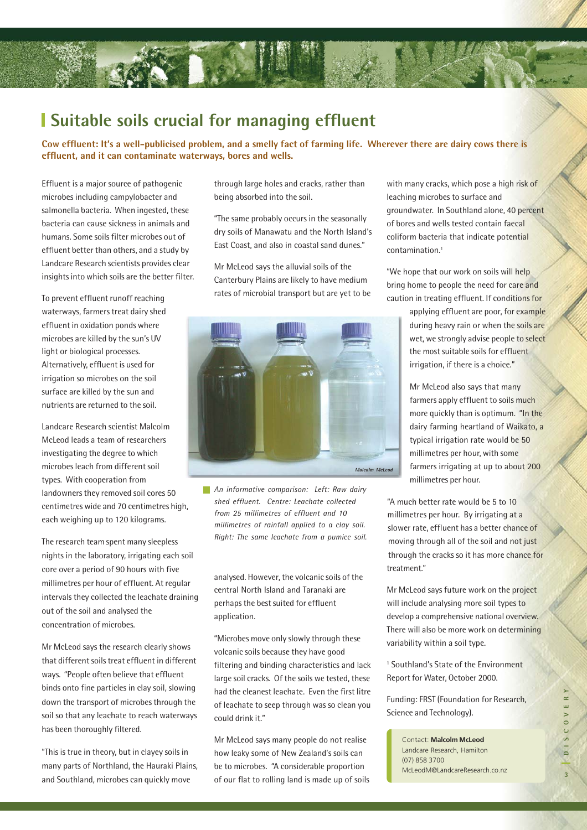### **Suitable soils crucial for managing effluent**

**Cow effluent: It's a well-publicised problem, and a smelly fact of farming life. Wherever there are dairy cows there is effluent, and it can contaminate waterways, bores and wells.**

Effluent is a major source of pathogenic microbes including campylobacter and salmonella bacteria. When ingested, these bacteria can cause sickness in animals and humans. Some soils filter microbes out of effluent better than others, and a study by Landcare Research scientists provides clear insights into which soils are the better filter.

To prevent effluent runoff reaching waterways, farmers treat dairy shed effluent in oxidation ponds where microbes are killed by the sun's UV light or biological processes. Alternatively, effluent is used for irrigation so microbes on the soil surface are killed by the sun and nutrients are returned to the soil.

Landcare Research scientist Malcolm McLeod leads a team of researchers investigating the degree to which microbes leach from different soil types. With cooperation from landowners they removed soil cores 50 centimetres wide and 70 centimetres high, each weighing up to 120 kilograms.

The research team spent many sleepless nights in the laboratory, irrigating each soil core over a period of 90 hours with five millimetres per hour of effluent. At regular intervals they collected the leachate draining out of the soil and analysed the concentration of microbes.

Mr McLeod says the research clearly shows that different soils treat effluent in different ways. "People often believe that effluent binds onto fine particles in clay soil, slowing down the transport of microbes through the soil so that any leachate to reach waterways has been thoroughly filtered.

"This is true in theory, but in clayey soils in many parts of Northland, the Hauraki Plains, and Southland, microbes can quickly move

through large holes and cracks, rather than being absorbed into the soil.

"The same probably occurs in the seasonally dry soils of Manawatu and the North Island's East Coast, and also in coastal sand dunes."

Mr McLeod says the alluvial soils of the Canterbury Plains are likely to have medium rates of microbial transport but are yet to be



*An informative comparison: Left: Raw dairy shed effluent. Centre: Leachate collected from 25 millimetres of effluent and 10 millimetres of rainfall applied to a clay soil. Right: The same leachate from a pumice soil.*

analysed. However, the volcanic soils of the central North Island and Taranaki are perhaps the best suited for effluent application.

"Microbes move only slowly through these volcanic soils because they have good filtering and binding characteristics and lack large soil cracks. Of the soils we tested, these had the cleanest leachate. Even the first litre of leachate to seep through was so clean you could drink it."

Mr McLeod says many people do not realise how leaky some of New Zealand's soils can be to microbes. "A considerable proportion of our flat to rolling land is made up of soils with many cracks, which pose a high risk of leaching microbes to surface and groundwater. In Southland alone, 40 percent of bores and wells tested contain faecal coliform bacteria that indicate potential contamination.1

"We hope that our work on soils will help bring home to people the need for care and caution in treating effluent. If conditions for

> applying effluent are poor, for example during heavy rain or when the soils are wet, we strongly advise people to select the most suitable soils for effluent irrigation, if there is a choice."

Mr McLeod also says that many farmers apply effluent to soils much more quickly than is optimum. "In the dairy farming heartland of Waikato, a typical irrigation rate would be 50 millimetres per hour, with some farmers irrigating at up to about 200 millimetres per hour.

"A much better rate would be 5 to 10 millimetres per hour. By irrigating at a slower rate, effluent has a better chance of moving through all of the soil and not just through the cracks so it has more chance for treatment."

Mr McLeod says future work on the project will include analysing more soil types to develop a comprehensive national overview. There will also be more work on determining variability within a soil type.

1 Southland's State of the Environment Report for Water, October 2000.

Funding: FRST (Foundation for Research, Science and Technology).

Contact: **Malcolm McLeod** Landcare Research, Hamilton (07) 858 3700 McLeodM@LandcareResearch.co.nz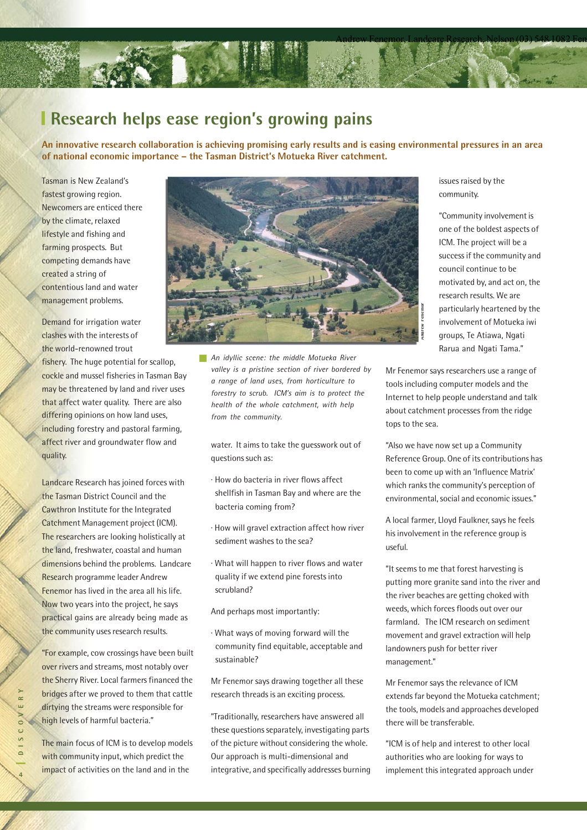

### **Research helps ease region's growing pains**

**An innovative research collaboration is achieving promising early results and is easing environmental pressures in an area of national economic importance – the Tasman District's Motueka River catchment.**

Tasman is New Zealand's fastest growing region. Newcomers are enticed there by the climate, relaxed lifestyle and fishing and farming prospects. But competing demands have created a string of contentious land and water management problems.

Demand for irrigation water clashes with the interests of the world-renowned trout

fishery. The huge potential for scallop, cockle and mussel fisheries in Tasman Bay may be threatened by land and river uses that affect water quality. There are also differing opinions on how land uses, including forestry and pastoral farming, affect river and groundwater flow and quality.

Landcare Research has joined forces with the Tasman District Council and the Cawthron Institute for the Integrated Catchment Management project (ICM). The researchers are looking holistically at the land, freshwater, coastal and human dimensions behind the problems. Landcare Research programme leader Andrew Fenemor has lived in the area all his life. Now two years into the project, he says practical gains are already being made as the community uses research results.

"For example, cow crossings have been built over rivers and streams, most notably over the Sherry River. Local farmers financed the bridges after we proved to them that cattle dirtying the streams were responsible for high levels of harmful bacteria."

The main focus of ICM is to develop models with community input, which predict the impact of activities on the land and in the



*An idyllic scene: the middle Motueka River valley is a pristine section of river bordered by a range of land uses, from horticulture to forestry to scrub. ICM's aim is to protect the health of the whole catchment, with help from the community.*

water. It aims to take the guesswork out of questions such as:

- · How do bacteria in river flows affect shellfish in Tasman Bay and where are the bacteria coming from?
- · How will gravel extraction affect how river sediment washes to the sea?
- · What will happen to river flows and water quality if we extend pine forests into scrubland?

And perhaps most importantly:

· What ways of moving forward will the community find equitable, acceptable and sustainable?

Mr Fenemor says drawing together all these research threads is an exciting process.

"Traditionally, researchers have answered all these questions separately, investigating parts of the picture without considering the whole. Our approach is multi-dimensional and integrative, and specifically addresses burning issues raised by the community.

"Community involvement is one of the boldest aspects of ICM. The project will be a success if the community and council continue to be motivated by, and act on, the research results. We are particularly heartened by the involvement of Motueka iwi groups, Te Atiawa, Ngati Rarua and Ngati Tama."

Mr Fenemor says researchers use a range of tools including computer models and the Internet to help people understand and talk about catchment processes from the ridge tops to the sea.

"Also we have now set up a Community Reference Group. One of its contributions has been to come up with an 'Influence Matrix' which ranks the community's perception of environmental, social and economic issues."

A local farmer, Lloyd Faulkner, says he feels his involvement in the reference group is useful.

"It seems to me that forest harvesting is putting more granite sand into the river and the river beaches are getting choked with weeds, which forces floods out over our farmland. The ICM research on sediment movement and gravel extraction will help landowners push for better river management."

Mr Fenemor says the relevance of ICM extends far beyond the Motueka catchment; the tools, models and approaches developed there will be transferable.

"ICM is of help and interest to other local authorities who are looking for ways to implement this integrated approach under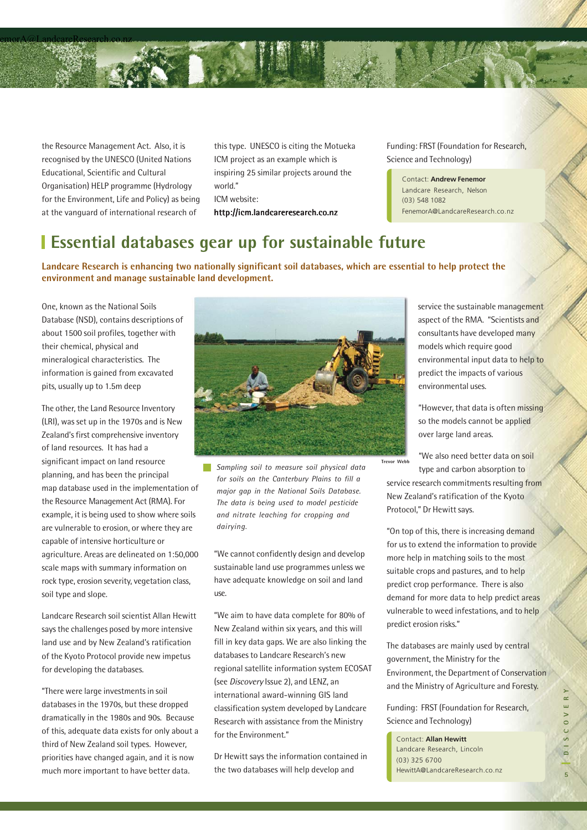

the Resource Management Act. Also, it is recognised by the UNESCO (United Nations Educational, Scientific and Cultural Organisation) HELP programme (Hydrology for the Environment, Life and Policy) as being at the vanguard of international research of

this type. UNESCO is citing the Motueka ICM project as an example which is inspiring 25 similar projects around the world." ICM website:

http://icm.landcareresearch.co.nz

Funding: FRST (Foundation for Research, Science and Technology)

Contact: **Andrew Fenemor** Landcare Research, Nelson (03) 548 1082 FenemorA@LandcareResearch.co.nz

### **Essential databases gear up for sustainable future**

**Landcare Research is enhancing two nationally significant soil databases, which are essential to help protect the environment and manage sustainable land development.**

One, known as the National Soils Database (NSD), contains descriptions of about 1500 soil profiles, together with their chemical, physical and mineralogical characteristics. The information is gained from excavated pits, usually up to 1.5m deep

The other, the Land Resource Inventory (LRI), was set up in the 1970s and is New Zealand's first comprehensive inventory of land resources. It has had a significant impact on land resource planning, and has been the principal map database used in the implementation of the Resource Management Act (RMA). For example, it is being used to show where soils are vulnerable to erosion, or where they are capable of intensive horticulture or agriculture. Areas are delineated on 1:50,000 scale maps with summary information on rock type, erosion severity, vegetation class, soil type and slope.

Landcare Research soil scientist Allan Hewitt says the challenges posed by more intensive land use and by New Zealand's ratification of the Kyoto Protocol provide new impetus for developing the databases.

"There were large investments in soil databases in the 1970s, but these dropped dramatically in the 1980s and 90s. Because of this, adequate data exists for only about a third of New Zealand soil types. However, priorities have changed again, and it is now much more important to have better data.



*Sampling soil to measure soil physical data for soils on the Canterbury Plains to fill a major gap in the National Soils Database. The data is being used to model pesticide and nitrate leaching for cropping and dairying.*

"We cannot confidently design and develop sustainable land use programmes unless we have adequate knowledge on soil and land use.

"We aim to have data complete for 80% of New Zealand within six years, and this will fill in key data gaps. We are also linking the databases to Landcare Research's new regional satellite information system ECOSAT (see Discovery Issue 2), and LENZ, an international award-winning GIS land classification system developed by Landcare Research with assistance from the Ministry for the Environment."

Dr Hewitt says the information contained in the two databases will help develop and

service the sustainable management aspect of the RMA. "Scientists and consultants have developed many models which require good environmental input data to help to predict the impacts of various environmental uses.

"However, that data is often missing so the models cannot be applied over large land areas.

"We also need better data on soil type and carbon absorption to

service research commitments resulting from New Zealand's ratification of the Kyoto Protocol," Dr Hewitt says.

**Trevor Webb**

"On top of this, there is increasing demand for us to extend the information to provide more help in matching soils to the most suitable crops and pastures, and to help predict crop performance. There is also demand for more data to help predict areas vulnerable to weed infestations, and to help predict erosion risks."

The databases are mainly used by central government, the Ministry for the Environment, the Department of Conservation and the Ministry of Agriculture and Foresty.

Funding: FRST (Foundation for Research, Science and Technology)

Contact: **Allan Hewitt** Landcare Research, Lincoln (03) 325 6700 HewittA@LandcareResearch.co.nz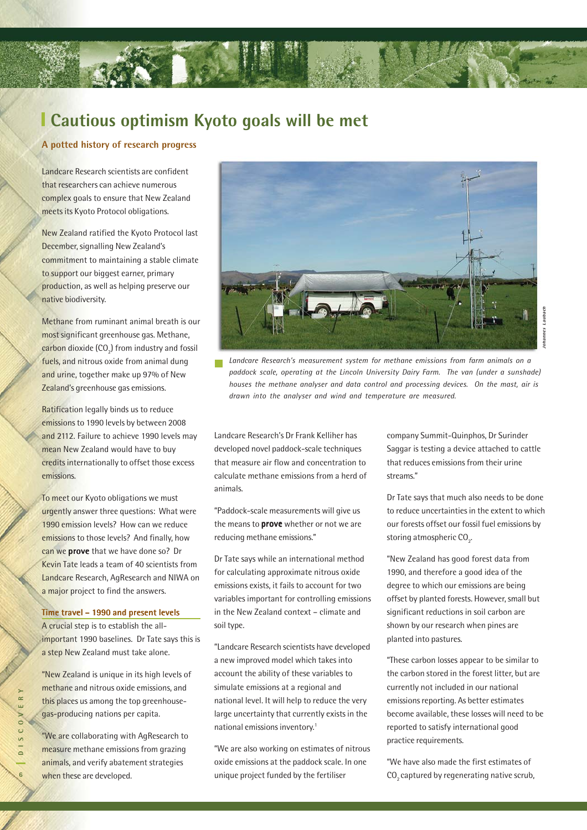

### **Cautious optimism Kyoto goals will be met**

#### **A potted history of research progress**

Landcare Research scientists are confident that researchers can achieve numerous complex goals to ensure that New Zealand meets its Kyoto Protocol obligations.

New Zealand ratified the Kyoto Protocol last December, signalling New Zealand's commitment to maintaining a stable climate to support our biggest earner, primary production, as well as helping preserve our native biodiversity.

Methane from ruminant animal breath is our most significant greenhouse gas. Methane,  $\mathsf{carbon}$  dioxide (CO $_2$ ) from industry and fossil fuels, and nitrous oxide from animal dung and urine, together make up 97% of New Zealand's greenhouse gas emissions.

Ratification legally binds us to reduce emissions to 1990 levels by between 2008 and 2112. Failure to achieve 1990 levels may mean New Zealand would have to buy credits internationally to offset those excess emissions.

To meet our Kyoto obligations we must urgently answer three questions: What were 1990 emission levels? How can we reduce emissions to those levels? And finally, how can we prove that we have done so? Dr Kevin Tate leads a team of 40 scientists from Landcare Research, AgResearch and NIWA on a major project to find the answers.

#### Time travel – 1990 and present levels

A crucial step is to establish the allimportant 1990 baselines. Dr Tate says this is a step New Zealand must take alone.

"New Zealand is unique in its high levels of methane and nitrous oxide emissions, and this places us among the top greenhousegas-producing nations per capita.

"We are collaborating with AgResearch to measure methane emissions from grazing animals, and verify abatement strategies when these are developed.



*Landcare Research's measurement system for methane emissions from farm animals on a paddock scale, operating at the Lincoln University Dairy Farm. The van (under a sunshade) houses the methane analyser and data control and processing devices. On the mast, air is drawn into the analyser and wind and temperature are measured.*

Landcare Research's Dr Frank Kelliher has developed novel paddock-scale techniques that measure air flow and concentration to calculate methane emissions from a herd of animals.

"Paddock-scale measurements will give us the means to **prove** whether or not we are reducing methane emissions."

Dr Tate says while an international method for calculating approximate nitrous oxide emissions exists, it fails to account for two variables important for controlling emissions in the New Zealand context – climate and soil type.

"Landcare Research scientists have developed a new improved model which takes into account the ability of these variables to simulate emissions at a regional and national level. It will help to reduce the very large uncertainty that currently exists in the national emissions inventory.1

"We are also working on estimates of nitrous oxide emissions at the paddock scale. In one unique project funded by the fertiliser

company Summit-Quinphos, Dr Surinder Saggar is testing a device attached to cattle that reduces emissions from their urine streams."

Dr Tate says that much also needs to be done to reduce uncertainties in the extent to which our forests offset our fossil fuel emissions by storing atmospheric CO $_{\textrm{\tiny{2}}}$ .

"New Zealand has good forest data from 1990, and therefore a good idea of the degree to which our emissions are being offset by planted forests. However, small but significant reductions in soil carbon are shown by our research when pines are planted into pastures.

"These carbon losses appear to be similar to the carbon stored in the forest litter, but are currently not included in our national emissions reporting. As better estimates become available, these losses will need to be reported to satisfy international good practice requirements.

"We have also made the first estimates of CO<sub>2</sub> captured by regenerating native scrub,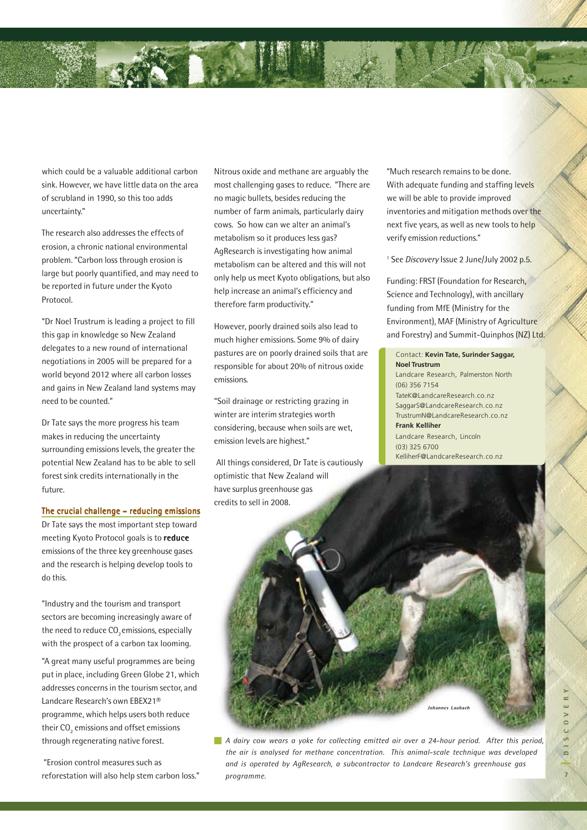which could be a valuable additional carbon sink. However, we have little data on the area of scrubland in 1990, so this too adds uncertainty."

The research also addresses the effects of erosion, a chronic national environmental problem. "Carbon loss through erosion is large but poorly quantified, and may need to be reported in future under the Kyoto Protocol.

"Dr Noel Trustrum is leading a project to fill this gap in knowledge so New Zealand delegates to a new round of international negotiations in 2005 will be prepared for a world beyond 2012 where all carbon losses and gains in New Zealand land systems may need to be counted."

Dr Tate says the more progress his team makes in reducing the uncertainty surrounding emissions levels, the greater the potential New Zealand has to be able to sell forest sink credits internationally in the future.

#### The crucial challenge – reducing emissions

Dr Tate says the most important step toward meeting Kyoto Protocol goals is to reduce emissions of the three key greenhouse gases and the research is helping develop tools to do this.

"Industry and the tourism and transport sectors are becoming increasingly aware of the need to reduce CO<sub>2</sub> emissions, especially with the prospect of a carbon tax looming.

"A great many useful programmes are being put in place, including Green Globe 21, which addresses concerns in the tourism sector, and Landcare Research's own EBEX21® programme, which helps users both reduce their  $\mathrm{CO}_\mathrm{2}$  emissions and offset emissions through regenerating native forest.

 "Erosion control measures such as reforestation will also help stem carbon loss." Nitrous oxide and methane are arguably the most challenging gases to reduce. "There are no magic bullets, besides reducing the number of farm animals, particularly dairy cows. So how can we alter an animal's metabolism so it produces less gas? AgResearch is investigating how animal metabolism can be altered and this will not only help us meet Kyoto obligations, but also help increase an animal's efficiency and therefore farm productivity."

However, poorly drained soils also lead to much higher emissions. Some 9% of dairy pastures are on poorly drained soils that are responsible for about 20% of nitrous oxide emissions.

"Soil drainage or restricting grazing in winter are interim strategies worth considering, because when soils are wet, emission levels are highest."

 All things considered, Dr Tate is cautiously optimistic that New Zealand will have surplus greenhouse gas credits to sell in 2008.

"Much research remains to be done. With adequate funding and staffing levels we will be able to provide improved inventories and mitigation methods over the next five years, as well as new tools to help verify emission reductions."

<sup>1</sup> See *Discovery* Issue 2 June/July 2002 p.5.

Funding: FRST (Foundation for Research, Science and Technology), with ancillary funding from MfE (Ministry for the Environment), MAF (Ministry of Agriculture and Forestry) and Summit-Quinphos (NZ) Ltd.

#### Contact: **Kevin Tate, Surinder Saggar, Noel Trustrum** Landcare Research, Palmerston North (06) 356 7154 TateK@LandcareResearch.co.nz SaggarS@LandcareResearch.co.nz TrustrumN@LandcareResearch.co.nz **Frank Kelliher** Landcare Research, Lincoln

(03) 325 6700 KelliherF@LandcareResearch.co.nz



*A dairy cow wears a yoke for collecting emitted air over a 24-hour period. After this period, the air is analysed for methane concentration. This animal-scale technique was developed and is operated by AgResearch, a subcontractor to Landcare Research's greenhouse gas programme.*